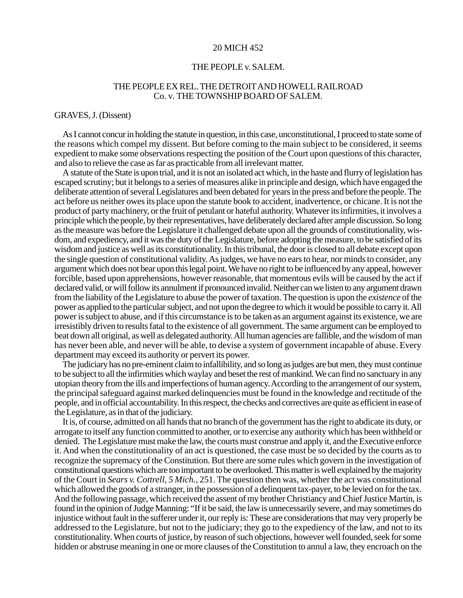## 20 MICH 452

## THE PEOPLE v. SALEM.

## THE PEOPLE EX REL. THE DETROIT AND HOWELL RAILROAD Co. v*.* THE TOWNSHIP BOARD OF SALEM.

## GRAVES, J. (Dissent)

As I cannot concur in holding the statute in question, in this case, unconstitutional, I proceed to state some of the reasons which compel my dissent. But before coming to the main subject to be considered, it seems expedient to make some observations respecting the position of the Court upon questions of this character, and also to relieve the case as far as practicable from all irrelevant matter.

A statute of the State is upon trial, and it is not an isolated act which, in the haste and flurry of legislation has escaped scrutiny; but it belongs to a series of measures alike in principle and design, which have engaged the deliberate attention of several Legislatures and been debated for years in the press and before the people. The act before us neither owes its place upon the statute book to accident, inadvertence, or chicane. It is not the product of party machinery, or the fruit of petulant or hateful authority. Whatever its infirmities, it involves a principle which the people, by their representatives, have deliberately declared after ample discussion. So long as the measure was before the Legislature it challenged debate upon all the grounds of constitutionality, wisdom, and expediency, and it was the duty of the Legislature, before adopting the measure, to be satisfied of its wisdom and justice as well as its constitutionality. In this tribunal, the door is closed to all debate except upon the single question of constitutional validity. As judges, we have no ears to hear, nor minds to consider, any argument which does not bear upon this legal point. We have no right to be influenced by any appeal, however forcible, based upon apprehensions, however reasonable, that momentous evils will be caused by the act if declared valid, or will follow its annulment if pronounced invalid. Neither can we listen to any argument drawn from the liability of the Legislature to abuse the power of taxation. The question is upon the *existence* ofthe power as applied to the particular subject, and not upon the degree to which it would be possible to carry it. All power is subject to abuse, and if this circumstance is to be taken as an argument against its existence, we are irresistibly driven to results fatal to the existence of all government. The same argument can be employed to beat down all original, as well as delegated authority. All human agencies are fallible, and the wisdom of man has never been able, and never will be able, to devise a system of government incapable of abuse. Every department may exceed its authority or pervert its power.

The judiciary has no pre-eminent claim to infallibility, and so long as judges are but men, they must continue to be subject to all the infirmities which waylay and beset the rest of mankind. We can find no sanctuary in any utopian theory from the ills and imperfections of human agency. According to the arrangement of our system, the principal safeguard against marked delinquencies must be found in the knowledge and rectitude of the people, and in official accountability. In this respect, the checks and correctives are quite as efficient in ease of the Legislature, as in that of the judiciary.

It is, of course, admitted on all hands that no branch of the government has the right to abdicate its duty, or arrogate to itself any function committed to another, or to exercise any authority which has been withheld or denied. The Legislature must make the law, the courts must construe and apply it, and the Executive enforce it. And when the constitutionality of an act is questioned, the case must be so decided by the courts as to recognize the supremacy of the Constitution. But there are some rules which govern in the investigation of constitutional questions which are too important to be overlooked. This matter is well explained by the majority of the Court in *Sears v. Cottrell, 5 Mich.,* 251. The question then was, whether the act was constitutional which allowed the goods of a stranger, in the possession of a delinquent tax-payer, to be levied on for the tax. And the following passage, which received the assent of my brother Christiancy and Chief Justice Martin, is found in the opinion of Judge Manning: "If it be said, the law is unnecessarily severe, and may sometimes do injustice without fault in the sufferer under it, our reply is: These are considerations that may very properly be addressed to the Legislature, but not to the judiciary; they go to the expediency of the law, and not to its constitutionality. When courts of justice, by reason of such objections, however well founded, seek for some hidden or abstruse meaning in one or more clauses of the Constitution to annul a law, they encroach on the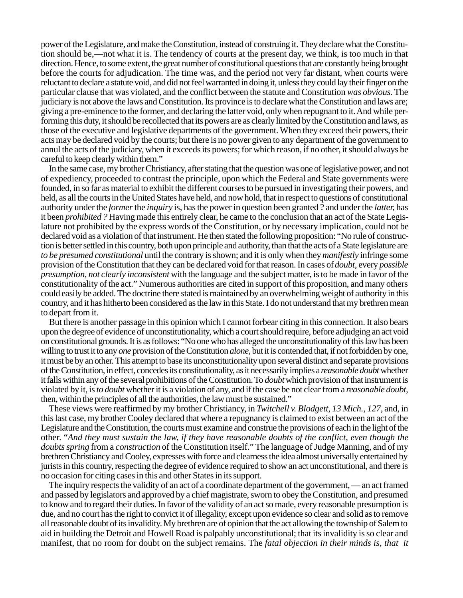power of the Legislature, and make the Constitution, instead of construing it. They declare what the Constitution should be,—not what it is. The tendency of courts at the present day, we think, is too much in that direction. Hence, to some extent, the great number of constitutional questions that are constantly being brought before the courts for adjudication. The time was, and the period not very far distant, when courts were reluctant to declare a statute void, and did not feel warranted in doing it, unless they could lay their finger on the particular clause that was violated, and the conflict between the statute and Constitution *was obvious.* The judiciary is not above the laws and Constitution. Its province is to declare what the Constitution and laws are; giving a pre-eminence to the former, and declaring the latter void, only when repugnant to it. And while performing this duty, it should be recollected that its powers are as clearly limited by the Constitution and laws, as those of the executive and legislative departments of the government. When they exceed their powers, their acts may be declared void by the courts; but there is no power given to any department of the government to annul the acts of the judiciary, when it exceeds its powers; for which reason, if no other, it should always be careful to keep clearly within them."

In the same case, my brother Christiancy, after stating that the question was one of legislative power, and not of expediency, proceeded to contrast the principle, upon which the Federal and State governments were founded, in so far as material to exhibit the different courses to be pursued in investigating their powers, and held, as all the courts in the United States have held, and now hold, that in respect to questions of constitutional authority under the *former* the *inquiry* is, has the power in question been granted ? and under the *latter,* has it been *prohibited ?* Having made this entirely clear, he came to the conclusion that an act of the State Legislature not prohibited by the express words of the Constitution, or by necessary implication, could not be declared void as a violation of that instrument. He then stated the following proposition: "No rule of construction is better settled in this country, both upon principle and authority, than that the acts of a State legislature are *to be presumed constitutional* until the contrary is shown; and it is only when they *manifestly* infringe some provision of the Constitution that they can be declared void for that reason. In cases of *doubt,* every *possible presumption, not clearly inconsistent* with the language and the subject matter, is to be made in favor of the constitutionality of the act." Numerous authorities are cited in support of this proposition, and many others could easily be added. The doctrine there stated is maintained by an overwhelming weight of authority in this country, and it has hitherto been considered as the law in this State. I do not understand that my brethren mean to depart from it.

But there is another passage in this opinion which I cannot forbear citing in this connection. It also bears upon the degree of evidence of unconstitutionality, which a court should require, before adjudging an act void on constitutional grounds. It is as follows: "No one who has alleged the unconstitutionality of this law has been willing to trust it to any *one* provision of the Constitution *alone,* but it is contended that, if not forbidden by one, it must be by an other. This attempt to base its unconstitutionality upon several distinct and separate provisions of the Constitution, in effect, concedes its constitutionality, as it necessarily implies a *reasonable doubt* whether it falls within any of the several prohibitions of the Constitution. To *doubt* which provision of that instrument is violated by it, is *to doubt* whether it is a violation of any, and if the case be not clear from a *reasonable doubt,* then, within the principles of all the authorities, the law must be sustained."

These views were reaffirmed by my brother Christiancy, in *Twitchell v. Blodgett, 13 Mich., 127,* and, in this last case, my brother Cooley declared that where a repugnancy is claimed to exist between an act of the Legislature and the Constitution, the courts must examine and construe the provisions of each in the light of the other. "*And they must sustain the law, if they have reasonable doubts of the conflict, even though the doubts spring* from a *construction* of the Constitution itself." The language of Judge Manning, and of my brethren Christiancy and Cooley, expresses with force and clearness the idea almost universally entertained by jurists in this country, respecting the degree of evidence required to show an act unconstitutional, and there is no occasion for citing cases in this and other States in its support.

The inquiry respects the validity of an act of a coordinate department of the government, — an act framed and passed by legislators and approved by a chief magistrate, sworn to obey the Constitution, and presumed to know and to regard their duties. In favor of the validity of an act so made, every reasonable presumption is due, and no court has the right to convict it of illegality, except upon evidence so clear and solid as to remove all reasonable doubt of its invalidity. My brethren are of opinion that the act allowing the township of Salem to aid in building the Detroit and Howell Road is palpably unconstitutional; that its invalidity is so clear and manifest, that no room for doubt on the subject remains. The *fatal objection in their minds is, that it*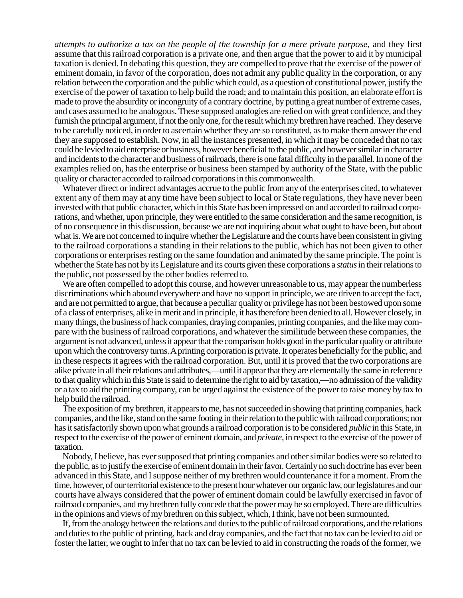*attempts to authorize a tax on the people of the township for a mere private purpose,* and they first assume that this railroad corporation is a private one, and then argue that the power to aid it by municipal taxation is denied. In debating this question, they are compelled to prove that the exercise of the power of eminent domain, in favor of the corporation, does not admit any public quality in the corporation, or any relation between the corporation and the public which could, as a question of constitutional power, justify the exercise of the power of taxation to help build the road; and to maintain this position, an elaborate effort is made to prove the absurdity or incongruity of a contrary doctrine, by putting a great number of extreme cases, and cases assumed to be analogous. These supposed analogies are relied on with great confidence, and they furnish the principal argument, if not the only one, for the result which my brethren have reached. Theydeserve to be carefully noticed, in order to ascertain whether they are so constituted, as to make them answer the end they are supposed to establish. Now, in all the instances presented, in which it may be conceded that no tax could be levied to aid enterprise or business, however beneficial to the public, and however similar in character and incidents to the character and business of railroads, there is one fatal difficulty in the parallel. In none of the examples relied on, has the enterprise or business been stamped by authority of the State, with the public quality or character accorded to railroad corporations in this commonwealth.

Whatever direct or indirect advantages accrue to the public from any of the enterprises cited, to whatever extent any of them may at any time have been subject to local or State regulations, they have never been invested with that public character, which in this State has been impressed on and accorded to railroad corporations, and whether, upon principle, they were entitled to the same consideration and the same recognition, is of no consequence in this discussion, because we are not inquiring about what ought to have been, but about what is. We are not concerned to inquire whether the Legislature and the courts have been consistent in giving to the railroad corporations a standing in their relations to the public, which has not been given to other corporations or enterprises resting on the same foundation and animated by the same principle. The point is whether the State has not by its Legislature and its courts given these corporations a *status* in their relations to the public, not possessed by the other bodies referred to.

We are often compelled to adopt this course, and however unreasonable to us, may appear the numberless discriminations which abound everywhere and have no support in principle, we are driven to accept the fact, and are not permitted to argue, that because a peculiar quality or privilege has not been bestowed upon some of a class of enterprises, alike in merit and in principle, it has therefore been denied to all. However closely, in many things, the business of hack companies, draying companies, printing companies, and the like may compare with the business of railroad corporations, and whatever the similitude between these companies, the argument is not advanced, unless it appear that the comparison holds good in the particular quality or attribute upon which the controversy turns. A printing corporation is private. It operates beneficially for the public, and in these respects it agrees with the railroad corporation. But, until it is proved that the two corporations are alike private in all their relations and attributes,—until it appear that they are elementally the same in reference to that quality which in this State is said to determine the right to aid by taxation,—no admission of the validity or a tax to aid the printing company, can be urged against the existence of the power to raise money by tax to help build the railroad.

The exposition of my brethren, it appears to me, has not succeeded in showing that printing companies, hack companies, and the like, stand on the same footing in their relation to the public with railroad corporations; nor has it satisfactorily shown upon what grounds a railroad corporation is to be considered *public* in this State, in respect to the exercise of the power of eminent domain, and *private,* in respect to the exercise of the power of taxation.

Nobody, I believe, has ever supposed that printing companies and other similar bodies were so related to the public, as to justify the exercise of eminent domain in their favor. Certainly no such doctrine has ever been advanced in this State, and I suppose neither of my brethren would countenance it for a moment. From the time, however, of our territorial existence to the present hour whatever our organic law, our legislatures and our courts have always considered that the power of eminent domain could be lawfully exercised in favor of railroad companies, and my brethren fully concede that the power may be so employed. There are difficulties in the opinions and views of my brethren on this subject, which, I think, have not been surmounted.

If, from the analogy between the relations and duties to the public of railroad corporations, and the relations and duties to the public of printing, hack and dray companies, and the fact that no tax can be levied to aid or foster the latter, we ought to infer that no tax can be levied to aid in constructing the roads of the former, we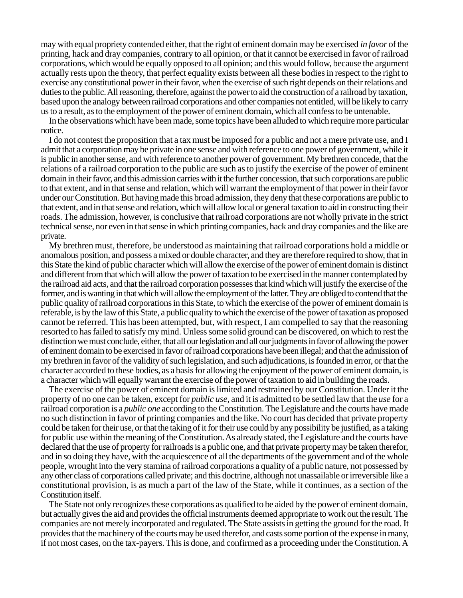may with equal propriety contended either, that the right of eminent domain may be exercised *in favor* of the printing, hack and dray companies, contrary to all opinion, or that it cannot be exercised in favor of railroad corporations, which would be equally opposed to all opinion; and this would follow, because the argument actually rests upon the theory, that perfect equality exists between all these bodies in respect to the right to exercise any constitutional power in their favor, when the exercise of such right depends on their relations and duties to the public. All reasoning, therefore, against the power to aid the construction of a railroad by taxation, based upon the analogy between railroad corporations and other companies not entitled, will be likely to carry us to a result, as to the employment of the power of eminent domain, which all confess to be untenable.

In the observations which have been made, some topics have been alluded to which require more particular notice.

I do not contest the proposition that a tax must be imposed for a public and not a mere private use, and I admit that a corporation may be private in one sense and with reference to one power of government, while it is public in another sense, and with reference to another power of government. My brethren concede, that the relations of a railroad corporation to the public are such as to justify the exercise of the power of eminent domain in their favor, and this admission carries with it the further concession, that such corporations are public to that extent, and in that sense and relation, which will warrant the employment of that power in their favor under our Constitution. But having made this broad admission, they deny that these corporations are public to that extent, and in that sense and relation, which will allow local or general taxation to aid in constructing their roads. The admission, however, is conclusive that railroad corporations are not wholly private in the strict technical sense, nor even in that sense in which printing companies, hack and dray companies and the like are private.

My brethren must, therefore, be understood as maintaining that railroad corporations hold a middle or anomalous position, and possess a mixed or double character, and they are therefore required to show, that in this State the kind of public character which will allow the exercise of the power of eminent domain is distinct and different from that which will allow the power of taxation to be exercised in the manner contemplated by the railroad aid acts, and that the railroad corporation possesses that kind which will justify the exercise of the former, and is wanting in that which will allow the employment of the latter. They are obliged to contend that the public quality of railroad corporations in this State, to which the exercise of the power of eminent domain is referable, is by the law of this State, a public quality to which the exercise of the power of taxation as proposed cannot be referred. This has been attempted, but, with respect, I am compelled to say that the reasoning resorted to has failed to satisfy my mind. Unless some solid ground can be discovered, on which to rest the distinction we must conclude, either, that all our legislation and all our judgments in favor of allowing the power of eminent domain to be exercised in favor of railroad corporations have been illegal; and that the admission of my brethren in favor of the validity of such legislation, and such adjudications, is founded in error, or that the character accorded to these bodies, as a basis for allowing the enjoyment of the power of eminent domain, is a character which will equally warrant the exercise of the power of taxation to aid in building the roads.

The exercise of the power of eminent domain is limited and restrained by our Constitution. Under it the property of no one can be taken, except for *public use,* and it is admitted to be settled law that the *use* for a railroad corporation is a *public one* according to the Constitution. The Legislature and the courts have made no such distinction in favor of printing companies and the like. No court has decided that private property could be taken for their use, or that the taking of it for their use could by any possibility be justified, as a taking for public use within the meaning of the Constitution. As already stated, the Legislature and the courts have declared that the use of property for railroads is a public one, and that private property may be taken therefor, and in so doing they have, with the acquiescence of all the departments of the government and of the whole people, wrought into the very stamina of railroad corporations a quality of a public nature, not possessed by any other class of corporations called private; and this doctrine, although not unassailable or irreversible like a constitutional provision, is as much a part of the law of the State, while it continues, as a section of the Constitution itself.

The State not only recognizes these corporations as qualified to be aided by the power of eminent domain, but actually gives the aid and provides the official instruments deemed appropriate to work out the result. The companies are not merely incorporated and regulated. The State assists in getting the ground for the road. It provides that the machinery of the courts may be used therefor, and casts some portion of the expense in many, if not most cases, on the tax-payers. This is done, and confirmed as a proceeding under the Constitution. A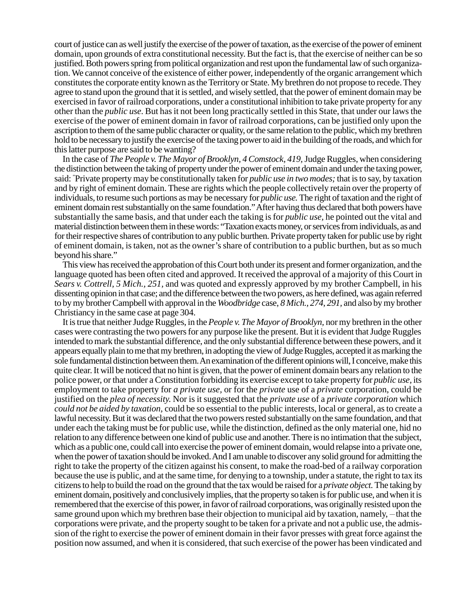court of justice can as well justify the exercise of the power of taxation, as the exercise of the power of eminent domain, upon grounds of extra constitutional necessity. But the fact is, that the exercise of neither can be so justified. Both powers spring from political organization and rest upon the fundamental law of such organization. We cannot conceive of the existence of either power, independently of the organic arrangement which constitutes the corporate entity known as the Territory or State. My brethren do not propose to recede. They agree to stand upon the ground that it is settled, and wisely settled, that the power of eminent domain may be exercised in favor of railroad corporations, under a constitutional inhibition to take private property for any other than the *public use.* But has it not been long practically settled in this State, that under our laws the exercise of the power of eminent domain in favor of railroad corporations, can be justified only upon the ascription to them of the same public character or quality, or the same relation to the public, which my brethren hold to be necessary to justify the exercise of the taxing power to aid in the building of the roads, and which for this latter purpose are said to be wanting?

In the case of *The People v. The Mayor of Brooklyn, 4 Comstock, 419,* Judge Ruggles, when considering the distinction between the taking of property under the power of eminent domain and under the taxing power, said: " Private property may be constitutionally taken for *public use in two modes;* that is to say, by taxation and by right of eminent domain. These are rights which the people collectively retain over the property of individuals, to resume such portions as may be necessary for *public use.* The right of taxation and the right of eminent domain rest substantially on the same foundation." After having thus declared that both powers have substantially the same basis, and that under each the taking is for *public use,* he pointed out the vital and material distinction between them in these words: "Taxation exacts money, or services from individuals, as and for their respective shares of contribution to any public burthen. Private property taken for public use by right of eminent domain, is taken, not as the owner's share of contribution to a public burthen, but as so much beyond his share."

This view has received the approbation of this Court both under its present and former organization, and the language quoted has been often cited and approved. It received the approval of a majority of this Court in *Sears v. Cottrell, 5 Mich., 251,* and was quoted and expressly approved by my brother Campbell, in his dissenting opinion in that case; and the difference between the two powers, as here defined, was again referred to by my brother Campbell with approval in the *Woodbridge* case, *8 Mich., 274, 291,* and also by my brother Christiancy in the same case at page 304.

It is true that neither Judge Ruggles, in the *People v. The Mayor of Brooklyn,* nor my brethren in the other cases were contrasting the two powers for any purpose like the present. But it is evident that Judge Ruggles intended to mark the substantial difference, and the only substantial difference between these powers, and it appears equally plain to me that my brethren, in adopting the view of Judge Ruggles, accepted it as marking the sole fundamental distinction between them. An examination of the different opinions will, I conceive, make this quite clear. It will be noticed that no hint is given, that the power of eminent domain bears any relation to the police power, or that under a Constitution forbidding its exercise except to take property for *public use,* its employment to take property for *a private use,* or for the *private* use of a *private* corporation, could be justified on the *plea of necessity.* Nor is it suggested that the *private use* of a *private corporation* which *could not be aided by taxation,* could be so essential to the public interests, local or general, as to create a lawful necessity. But it was declared that the two powers rested substantially on the same foundation, and that under each the taking must be for public use, while the distinction, defined as the only material one, hid no relation to any difference between one kind of public use and another. There is no intimation that the subject, which as a public one, could call into exercise the power of eminent domain, would relapse into a private one, when the power of taxation should be invoked. And I am unable to discover any solid ground for admitting the right to take the property of the citizen against his consent, to make the road-bed of a railway corporation because the use is public, and at the same time, for denying to a township, under a statute, the right to tax its citizens to help to build the road on the ground that the tax would be raised for a *private object.* The taking by eminent domain, positively and conclusively implies, that the property so taken is for public use, and when it is remembered that the exercise of this power, in favor of railroad corporations, was originally resisted upon the same ground upon which my brethren base their objection to municipal aid by taxation, namely, —that the corporations were private, and the property sought to be taken for a private and not a public use, the admission of the right to exercise the power of eminent domain in their favor presses with great force against the position now assumed, and when it is considered, that such exercise of the power has been vindicated and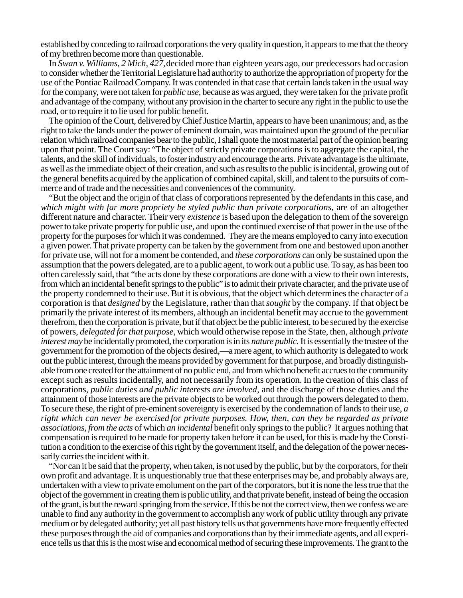established by conceding to railroad corporations the very quality in question, it appears to me that the theory of my brethren become more than questionable.

In *Swan v. Williams, 2 Mich, 427,*decided more than eighteen years ago, our predecessors had occasion to consider whether the Territorial Legislature had authority to authorize the appropriation of property for the use of the Pontiac Railroad Company. It was contended in that case that certain lands taken in the usual way for the company, were not taken for *public use,* because as was argued, they were taken for the private profit and advantage of the company, without any provision in the charter to secure any right in the public to use the road, or to require it to lie used for public benefit.

The opinion of the Court, delivered by Chief Justice Martin, appears to have been unanimous; and, as the right to take the lands under the power of eminent domain, was maintained upon the ground of the peculiar relation which railroad companies bear to the public, I shall quote the most material part of the opinion bearing upon that point. The Court say: "The object of strictly private corporations is to aggregate the capital, the talents, and the skill of individuals, to foster industry and encourage the arts. Private advantage is the ultimate, as well as the immediate object of their creation, and such as results to the public is incidental, growing out of the general benefits acquired by the application of combined capital, skill, and talent to the pursuits of commerce and of trade and the necessities and conveniences of the community.

"But the object and the origin of that class of corporations represented by the defendants in this case, and which might with far more propriety be styled public than private corporations, are of an altogether different nature and character. Their very *existence* is based upon the delegation to them of the sovereign power to take private property for public use, and upon the continued exercise of that power in the use of the property for the purposes for which it was condemned. They are the means employed to carry into execution a given power. That private property can be taken by the government from one and bestowed upon another for private use, will not for a moment be contended, and *these corporations* can only be sustained upon the assumption that the powers delegated, are to a public agent, to work out a public use. To say, as has been too often carelessly said, that "the acts done by these corporations are done with a view to their own interests, from which an incidental benefit springs to the public" is to admit their private character, and the private use of the property condemned to their use. But it is obvious, that the object which determines the character of a corporation is that *designed* by the Legislature, rather than that *sought* by the company. If that object be primarily the private interest of its members, although an incidental benefit may accrue to the government therefrom, then the corporation is private, but if that object be the public interest, to be secured by the exercise of powers, *delegated for that purpose,* which would otherwise repose in the State, then, although *private interest may* be incidentally promoted, the corporation is in its *nature public.* It is essentially the trustee of the government for the promotion of the objects desired,—a mere agent, to which authority is delegated to work out the public interest, through the means provided by government for that purpose, and broadly distinguishable from one created for the attainment of no public end, and from which no benefit accrues to the community except such as results incidentally, and not necessarily from its operation. In the creation of this class of corporations, *public duties and public interests are involved,* and the discharge of those duties and the attainment of those interests are the private objects to be worked out through the powers delegated to them. To secure these, the right of pre-eminent sovereignty is exercised by the condemnation of lands to their use, *a right which can never be exercised for private purposes. How, then, can they be regarded as private associations, from the acts* of which *an incidental* benefit only springs to the public? It argues nothing that compensation is required to be made for property taken before it can be used, for this is made by the Constitution a condition to the exercise of this right by the government itself, and the delegation of the power necessarily carries the incident with it.

"Nor can it be said that the property, when taken, is not used by the public, but by the corporators, for their own profit and advantage. It is unquestionably true that these enterprises may be, and probably always are, undertaken with a view to private emolument on the part of the corporators, but it is none the less true that the object of the government in creating them is public utility, and that private benefit, instead of being the occasion of the grant, is but the reward springing from the service. If this be not the correct view, then we confess we are unable to find any authority in the government to accomplish any work of public utility through any private medium or by delegated authority; yet all past history tells us that governments have more frequently effected these purposes through the aid of companies and corporations than by their immediate agents, and all experience tells us that this is the most wise and economical method of securing these improvements. The grant to the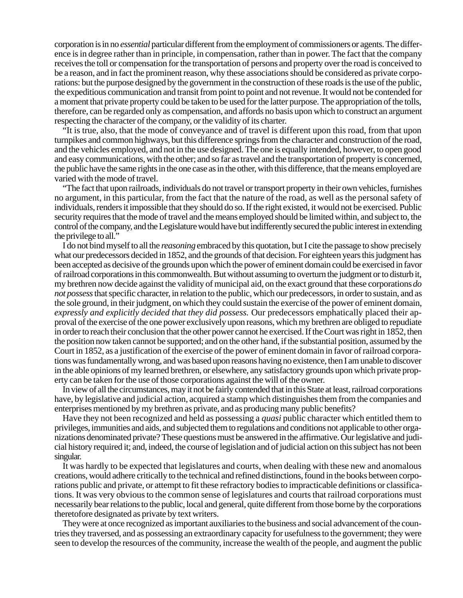corporation is in no *essential* particular different from the employment of commissioners or agents. The difference is in degree rather than in principle, in compensation, rather than in power. The fact that the company receives the toll or compensation for the transportation of persons and property over the road is conceived to be a reason, and in fact the prominent reason, why these associations should be considered as private corporations: but the purpose designed by the government in the construction of these roads is the use of the public, the expeditious communication and transit from point to point and not revenue. It would not be contended for a moment that private property could be taken to be used for the latter purpose. The appropriation of the tolls, therefore, can be regarded only as compensation, and affords no basis upon which to construct an argument respecting the character of the company, or the validity of its charter.

"It is true, also, that the mode of conveyance and of travel is different upon this road, from that upon turnpikes and common highways, but this difference springs from the character and construction of the road, and the vehicles employed, and not in the use designed. The one is equally intended, however, to open good and easy communications, with the other; and so far as travel and the transportation of property is concerned, the public have the same rights in the one case as in the other, with this difference, that the means employed are varied with the mode of travel.

"The fact that upon railroads, individuals do not travel or transport property in their own vehicles, furnishes no argument, in this particular, from the fact that the nature of the road, as well as the personal safety of individuals, renders it impossible that they should do so. If the right existed, it would not be exercised. Public security requires that the mode of travel and the means employed should be limited within, and subject to, the control of the company, and the Legislature would have but indifferently secured the public interest in extending the privilege to all."

I do not bind myself to all the *reasoning* embraced by this quotation, but I cite the passage to show precisely what our predecessors decided in 1852, and the grounds of that decision. For eighteen years this judgment has been accepted as decisive of the grounds upon which the power of eminent domain could be exercised in favor of railroad corporations in this commonwealth. But without assuming to overturn the judgment or to disturb it, my brethren now decide against the validity of municipal aid, on the exact ground that these corporations *do not possess* that specific character, in relation to the public, which our predecessors, in order to sustain, and as the sole ground, in their judgment, on which they could sustain the exercise of the power of eminent domain, *expressly and explicitly decided that they did possess.* Our predecessors emphatically placed their approval ofthe exercise of the one power exclusively upon reasons, which my brethren are obliged to repudiate in order to reach their conclusion that the other power cannot he exercised. If the Court was right in 1852, then the position now taken cannot be supported; and on the other hand, if the substantial position, assumed by the Court in 1852, as a justification of the exercise of the power of eminent domain in favor of railroad corporations was fundamentally wrong, and was based upon reasons having no existence, then I am unable to discover in the able opinions of my learned brethren, or elsewhere, any satisfactory grounds upon which private property can be taken for the use of those corporations against the will of the owner.

In view of all the circumstances, may it not be fairly contended that in this State at least, railroad corporations have, by legislative and judicial action, acquired a stamp which distinguishes them from the companies and enterprises mentioned by my brethren as private, and as producing many public benefits?

Have they not been recognized and held as possessing a *quasi* public character which entitled them to privileges, immunities and aids, and subjected them to regulations and conditions not applicable to other organizations denominated private? These questions must be answered in the affirmative. Our legislative and judicial history required it; and, indeed, the course of legislation and of judicial action on this subject has not been singular.

It was hardly to be expected that legislatures and courts, when dealing with these new and anomalous creations, would adhere critically to the technical and refined distinctions, found in the books between corporations public and private, or attempt to fit these refractory bodies to impracticable definitions or classifications. It was very obvious to the common sense of legislatures and courts that railroad corporations must necessarily bear relations to the public, local and general, quite different from those borne by the corporations theretofore designated as private by text writers.

They were at once recognized as important auxiliaries to the business and social advancement of the countries they traversed, and as possessing an extraordinary capacity for usefulness to the government; they were seen to develop the resources of the community, increase the wealth of the people, and augment the public